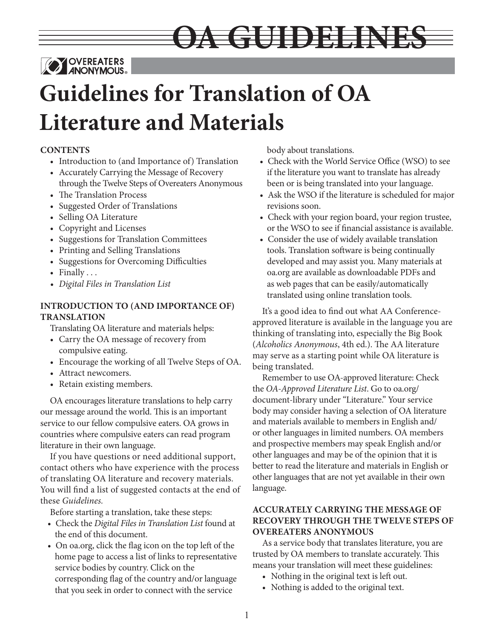

**Guidelines for Translation of OA Literature and Materials**

## **CONTENTS**

- Introduction to (and Importance of) Translation
- Accurately Carrying the Message of Recovery through the Twelve Steps of Overeaters Anonymous
- The Translation Process
- Suggested Order of Translations
- Selling OA Literature
- Copyright and Licenses
- Suggestions for Translation Committees
- Printing and Selling Translations
- Suggestions for Overcoming Difficulties
- Finally ...
- *Digital Files in Translation List*

## **INTRODUCTION TO (AND IMPORTANCE OF) TRANSLATION**

Translating OA literature and materials helps:

- Carry the OA message of recovery from compulsive eating.
- Encourage the working of all Twelve Steps of OA.
- Attract newcomers.
- Retain existing members.

OA encourages literature translations to help carry our message around the world. This is an important service to our fellow compulsive eaters. OA grows in countries where compulsive eaters can read program literature in their own language.

If you have questions or need additional support, contact others who have experience with the process of translating OA literature and recovery materials. You will find a list of suggested contacts at the end of these *Guidelines.*

Before starting a translation, take these steps:

- Check the *Digital Files in Translation List* found at the end of this document.
- On oa.org, click the flag icon on the top left of the home page to access a list of links to representative service bodies by country. Click on the corresponding flag of the country and/or language that you seek in order to connect with the service

body about translations.

**ZEGIÜDELINE** 

- Check with the World Service Office (WSO) to see if the literature you want to translate has already been or is being translated into your language.
- Ask the WSO if the literature is scheduled for major revisions soon.
- Check with your region board, your region trustee, or the WSO to see if financial assistance is available.
- Consider the use of widely available translation tools. Translation software is being continually developed and may assist you. Many materials at oa.org are available as downloadable PDFs and as web pages that can be easily/automatically translated using online translation tools.

It's a good idea to find out what AA Conferenceapproved literature is available in the language you are thinking of translating into, especially the Big Book (*Alcoholics Anonymous*, 4th ed.). The AA literature may serve as a starting point while OA literature is being translated.

Remember to use OA-approved literature: Check the *OA-Approved Literature List*. Go to oa.org/ document-library under "Literature." Your service body may consider having a selection of OA literature and materials available to members in English and/ or other languages in limited numbers. OA members and prospective members may speak English and/or other languages and may be of the opinion that it is better to read the literature and materials in English or other languages that are not yet available in their own language.

# **ACCURATELY CARRYING THE MESSAGE OF RECOVERY THROUGH THE TWELVE STEPS OF OVEREATERS ANONYMOUS**

As a service body that translates literature, you are trusted by OA members to translate accurately. This means your translation will meet these guidelines:

- Nothing in the original text is left out.
- Nothing is added to the original text.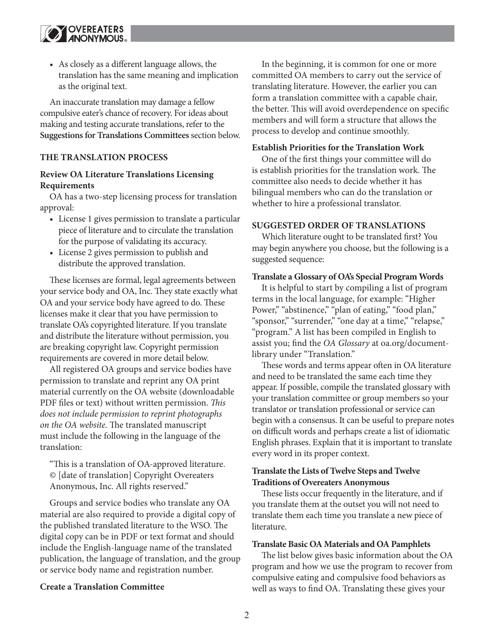

• As closely as a different language allows, the translation has the same meaning and implication as the original text.

An inaccurate translation may damage a fellow compulsive eater's chance of recovery. For ideas about making and testing accurate translations, refer to the **Suggestions for Translations Committees** section below.

### **THE TRANSLATION PROCESS**

### **Review OA Literature Translations Licensing Requirements**

OA has a two-step licensing process for translation approval:

- License 1 gives permission to translate a particular piece of literature and to circulate the translation for the purpose of validating its accuracy.
- License 2 gives permission to publish and distribute the approved translation.

These licenses are formal, legal agreements between your service body and OA, Inc. They state exactly what OA and your service body have agreed to do. These licenses make it clear that you have permission to translate OA's copyrighted literature. If you translate and distribute the literature without permission, you are breaking copyright law. Copyright permission requirements are covered in more detail below.

All registered OA groups and service bodies have permission to translate and reprint any OA print material currently on the OA website (downloadable PDF files or text) without written permission. *This does not include permission to reprint photographs on the OA website.* The translated manuscript must include the following in the language of the translation:

"This is a translation of OA-approved literature. © [date of translation] Copyright Overeaters Anonymous, Inc. All rights reserved."

Groups and service bodies who translate any OA material are also required to provide a digital copy of the published translated literature to the WSO. The digital copy can be in PDF or text format and should include the English-language name of the translated publication, the language of translation, and the group or service body name and registration number.

### **Create a Translation Committee**

In the beginning, it is common for one or more committed OA members to carry out the service of translating literature. However, the earlier you can form a translation committee with a capable chair, the better. This will avoid overdependence on specific members and will form a structure that allows the process to develop and continue smoothly.

#### **Establish Priorities for the Translation Work**

One of the first things your committee will do is establish priorities for the translation work. The committee also needs to decide whether it has bilingual members who can do the translation or whether to hire a professional translator.

### **SUGGESTED ORDER OF TRANSLATIONS**

Which literature ought to be translated first? You may begin anywhere you choose, but the following is a suggested sequence:

#### **Translate a Glossary of OA's Special Program Words**

It is helpful to start by compiling a list of program terms in the local language, for example: "Higher Power," "abstinence," "plan of eating," "food plan," "sponsor," "surrender," "one day at a time," "relapse," "program." A list has been compiled in English to assist you; find the *OA Glossary* at oa.org/documentlibrary under "Translation."

These words and terms appear often in OA literature and need to be translated the same each time they appear. If possible, compile the translated glossary with your translation committee or group members so your translator or translation professional or service can begin with a consensus. It can be useful to prepare notes on difficult words and perhaps create a list of idiomatic English phrases. Explain that it is important to translate every word in its proper context.

### **Translate the Lists of Twelve Steps and Twelve Traditions of Overeaters Anonymous**

These lists occur frequently in the literature, and if you translate them at the outset you will not need to translate them each time you translate a new piece of literature.

#### **Translate Basic OA Materials and OA Pamphlets**

The list below gives basic information about the OA program and how we use the program to recover from compulsive eating and compulsive food behaviors as well as ways to find OA. Translating these gives your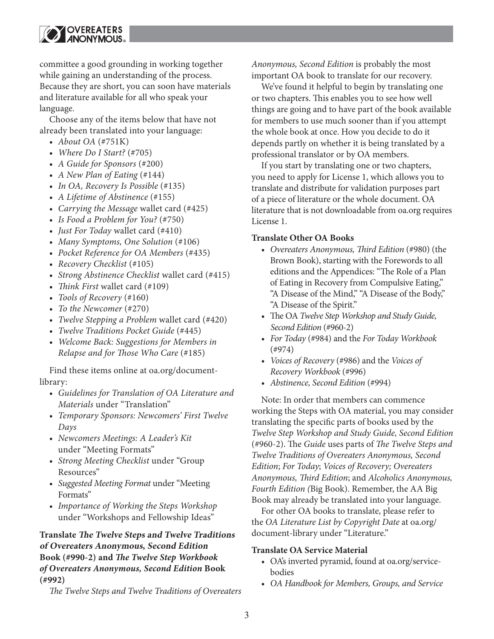

committee a good grounding in working together while gaining an understanding of the process. Because they are short, you can soon have materials and literature available for all who speak your language.

Choose any of the items below that have not already been translated into your language:

- *About OA* (#751K)
- *Where Do I Start?* (#705)
- *A Guide for Sponsors* (#200)
- *A New Plan of Eating* (#144)
- *In OA, Recovery Is Possible* (#135)
- *A Lifetime of Abstinence* (#155)
- *Carrying the Message* wallet card (#425)
- *Is Food a Problem for You?* (#750)
- *Just For Today* wallet card (#410)
- *Many Symptoms, One Solution* (#106)
- *Pocket Reference for OA Members* (#435)
- *Recovery Checklist* (#105)
- *Strong Abstinence Checklist* wallet card (#415)
- *Think First* wallet card (#109)
- *Tools of Recovery* (#160)
- *To the Newcomer* (#270)
- *Twelve Stepping a Problem* wallet card (#420)
- *Twelve Traditions Pocket Guide* (#445)
- *Welcome Back: Suggestions for Members in Relapse and for Those Who Care* (#185)

Find these items online at oa.org/documentlibrary:

- *Guidelines for Translation of OA Literature and Materials* under "Translation"
- *Temporary Sponsors: Newcomers' First Twelve Days*
- *Newcomers Meetings: A Leader's Kit* under "Meeting Formats"
- *Strong Meeting Checklist* under "Group Resources"
- *Suggested Meeting Format* under "Meeting Formats"
- *Importance of Working the Steps Workshop* under "Workshops and Fellowship Ideas"

# **Translate The Twelve Steps and Twelve Traditions of Overeaters Anonymous, Second Edition Book (#990-2) and** *The Twelve Step Workbook of Overeaters Anonymous, Second Edition* **Book (#992)**

*The Twelve Steps and Twelve Traditions of Overeaters* 

*Anonymous, Second Edition* is probably the most important OA book to translate for our recovery.

We've found it helpful to begin by translating one or two chapters. This enables you to see how well things are going and to have part of the book available for members to use much sooner than if you attempt the whole book at once. How you decide to do it depends partly on whether it is being translated by a professional translator or by OA members.

If you start by translating one or two chapters, you need to apply for License 1, which allows you to translate and distribute for validation purposes part of a piece of literature or the whole document. OA literature that is not downloadable from oa.org requires License 1.

### **Translate Other OA Books**

- *Overeaters Anonymous, Third Edition* (#980) (the Brown Book), starting with the Forewords to all editions and the Appendices: "The Role of a Plan of Eating in Recovery from Compulsive Eating," "A Disease of the Mind," "A Disease of the Body," "A Disease of the Spirit."
- The OA *Twelve Step Workshop and Study Guide, Second Edition* (#960-2)
- *For Today* (#984) and the *For Today Workbook* (#974)
- *Voices of Recovery* (#986) and the *Voices of Recovery Workbook* (#996)
- *Abstinence, Second Edition* (#994)

Note: In order that members can commence working the Steps with OA material, you may consider translating the specific parts of books used by the *Twelve Step Workshop and Study Guide, Second Edition*  (#960-2). The *Guide* uses parts of *The Twelve Steps and Twelve Traditions of Overeaters Anonymous, Second Edition*; *For Today*; *Voices of Recovery; Overeaters Anonymous, Third Edition*; and *Alcoholics Anonymous, Fourth Edition (*Big Book). Remember, the AA Big Book may already be translated into your language.

For other OA books to translate, please refer to the *OA Literature List by Copyright Date* at oa.org/ document-library under "Literature."

### **Translate OA Service Material**

- OA's inverted pyramid, found at oa.org/servicebodies
- *OA Handbook for Members, Groups, and Service*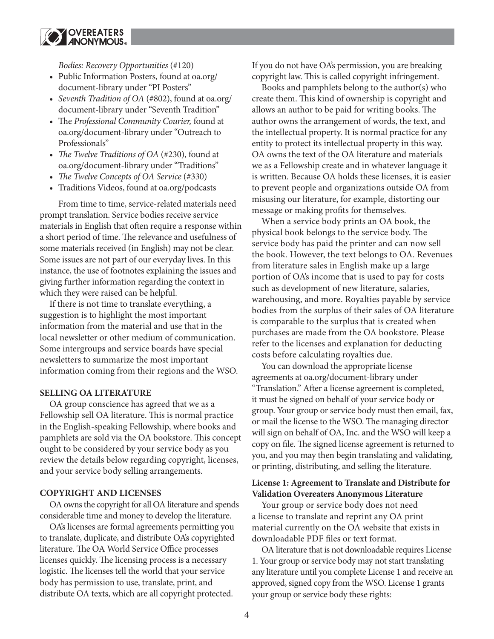

 *Bodies: Recovery Opportunities* (#120)

- Public Information Posters, found at oa.org/ document-library under "PI Posters"
- *Seventh Tradition of OA* (#802), found at oa.org/ document-library under "Seventh Tradition"
- The *Professional Community Courier,* found at oa.org/document-library under "Outreach to Professionals"
- *The Twelve Traditions of OA* (#230), found at oa.org/document-library under "Traditions"
- *The Twelve Concepts of OA Service* (#330)
- Traditions Videos, found at oa.org/podcasts

From time to time, service-related materials need prompt translation. Service bodies receive service materials in English that often require a response within a short period of time. The relevance and usefulness of some materials received (in English) may not be clear. Some issues are not part of our everyday lives. In this instance, the use of footnotes explaining the issues and giving further information regarding the context in which they were raised can be helpful.

If there is not time to translate everything, a suggestion is to highlight the most important information from the material and use that in the local newsletter or other medium of communication. Some intergroups and service boards have special newsletters to summarize the most important information coming from their regions and the WSO.

#### **SELLING OA LITERATURE**

OA group conscience has agreed that we as a Fellowship sell OA literature. This is normal practice in the English-speaking Fellowship, where books and pamphlets are sold via the OA bookstore. This concept ought to be considered by your service body as you review the details below regarding copyright, licenses, and your service body selling arrangements.

### **COPYRIGHT AND LICENSES**

OA owns the copyright for all OA literature and spends considerable time and money to develop the literature.

OA's licenses are formal agreements permitting you to translate, duplicate, and distribute OA's copyrighted literature. The OA World Service Office processes licenses quickly. The licensing process is a necessary logistic. The licenses tell the world that your service body has permission to use, translate, print, and distribute OA texts, which are all copyright protected.

If you do not have OA's permission, you are breaking copyright law. This is called copyright infringement.

Books and pamphlets belong to the author(s) who create them. This kind of ownership is copyright and allows an author to be paid for writing books. The author owns the arrangement of words, the text, and the intellectual property. It is normal practice for any entity to protect its intellectual property in this way. OA owns the text of the OA literature and materials we as a Fellowship create and in whatever language it is written. Because OA holds these licenses, it is easier to prevent people and organizations outside OA from misusing our literature, for example, distorting our message or making profits for themselves.

When a service body prints an OA book, the physical book belongs to the service body. The service body has paid the printer and can now sell the book. However, the text belongs to OA. Revenues from literature sales in English make up a large portion of OA's income that is used to pay for costs such as development of new literature, salaries, warehousing, and more. Royalties payable by service bodies from the surplus of their sales of OA literature is comparable to the surplus that is created when purchases are made from the OA bookstore. Please refer to the licenses and explanation for deducting costs before calculating royalties due.

You can download the appropriate license agreements at oa.org/document-library under "Translation." After a license agreement is completed, it must be signed on behalf of your service body or group. Your group or service body must then email, fax, or mail the license to the WSO. The managing director will sign on behalf of OA, Inc. and the WSO will keep a copy on file. The signed license agreement is returned to you, and you may then begin translating and validating, or printing, distributing, and selling the literature.

### **License 1: Agreement to Translate and Distribute for Validation Overeaters Anonymous Literature**

Your group or service body does not need a license to translate and reprint any OA print material currently on the OA website that exists in downloadable PDF files or text format.

OA literature that is not downloadable requires License 1. Your group or service body may not start translating any literature until you complete License 1 and receive an approved, signed copy from the WSO. License 1 grants your group or service body these rights: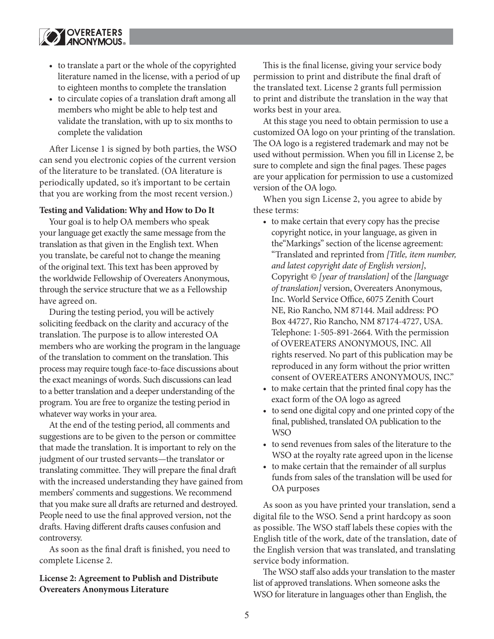

- to translate a part or the whole of the copyrighted literature named in the license, with a period of up to eighteen months to complete the translation
- to circulate copies of a translation draft among all members who might be able to help test and validate the translation, with up to six months to complete the validation

After License 1 is signed by both parties, the WSO can send you electronic copies of the current version of the literature to be translated. (OA literature is periodically updated, so it's important to be certain that you are working from the most recent version.)

#### **Testing and Validation: Why and How to Do It**

Your goal is to help OA members who speak your language get exactly the same message from the translation as that given in the English text. When you translate, be careful not to change the meaning of the original text. This text has been approved by the worldwide Fellowship of Overeaters Anonymous, through the service structure that we as a Fellowship have agreed on.

During the testing period, you will be actively soliciting feedback on the clarity and accuracy of the translation. The purpose is to allow interested OA members who are working the program in the language of the translation to comment on the translation. This process may require tough face-to-face discussions about the exact meanings of words. Such discussions can lead to a better translation and a deeper understanding of the program. You are free to organize the testing period in whatever way works in your area.

At the end of the testing period, all comments and suggestions are to be given to the person or committee that made the translation. It is important to rely on the judgment of our trusted servants—the translator or translating committee. They will prepare the final draft with the increased understanding they have gained from members' comments and suggestions. We recommend that you make sure all drafts are returned and destroyed. People need to use the final approved version, not the drafts. Having different drafts causes confusion and controversy.

As soon as the final draft is finished, you need to complete License 2.

**License 2: Agreement to Publish and Distribute Overeaters Anonymous Literature** 

This is the final license, giving your service body permission to print and distribute the final draft of the translated text. License 2 grants full permission to print and distribute the translation in the way that works best in your area.

At this stage you need to obtain permission to use a customized OA logo on your printing of the translation. The OA logo is a registered trademark and may not be used without permission. When you fill in License 2, be sure to complete and sign the final pages. These pages are your application for permission to use a customized version of the OA logo.

When you sign License 2, you agree to abide by these terms:

- to make certain that every copy has the precise copyright notice, in your language, as given in the"Markings" section of the license agreement: "Translated and reprinted from *[Title, item number, and latest copyright date of English version]*, Copyright © *[year of translation]* of the *[language of translation]* version, Overeaters Anonymous, Inc. World Service Office, 6075 Zenith Court NE, Rio Rancho, NM 87144. Mail address: PO Box 44727, Rio Rancho, NM 87174-4727, USA. Telephone: 1-505-891-2664. With the permission of OVEREATERS ANONYMOUS, INC. All rights reserved. No part of this publication may be reproduced in any form without the prior written consent of OVEREATERS ANONYMOUS, INC."
- to make certain that the printed final copy has the exact form of the OA logo as agreed
- to send one digital copy and one printed copy of the final, published, translated OA publication to the WSO
- to send revenues from sales of the literature to the WSO at the royalty rate agreed upon in the license
- to make certain that the remainder of all surplus funds from sales of the translation will be used for OA purposes

As soon as you have printed your translation, send a digital file to the WSO. Send a print hardcopy as soon as possible. The WSO staff labels these copies with the English title of the work, date of the translation, date of the English version that was translated, and translating service body information.

The WSO staff also adds your translation to the master list of approved translations. When someone asks the WSO for literature in languages other than English, the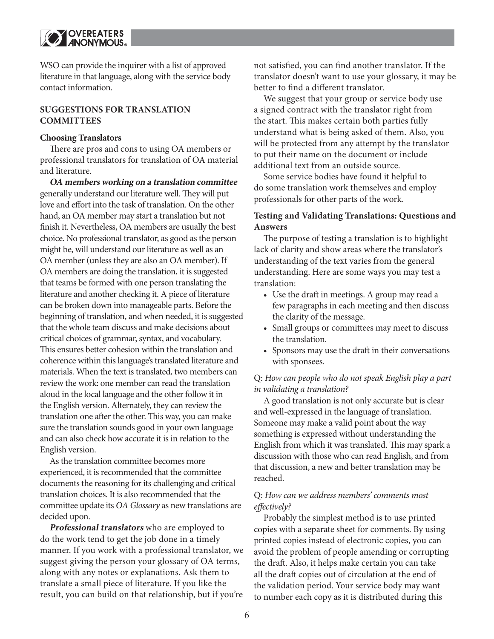

WSO can provide the inquirer with a list of approved literature in that language, along with the service body contact information.

### **SUGGESTIONS FOR TRANSLATION COMMITTEES**

#### **Choosing Translators**

There are pros and cons to using OA members or professional translators for translation of OA material and literature.

**OA members working on a translation committee**  generally understand our literature well. They will put love and effort into the task of translation. On the other hand, an OA member may start a translation but not finish it. Nevertheless, OA members are usually the best choice. No professional translator, as good as the person might be, will understand our literature as well as an OA member (unless they are also an OA member). If OA members are doing the translation, it is suggested that teams be formed with one person translating the literature and another checking it. A piece of literature can be broken down into manageable parts. Before the beginning of translation, and when needed, it is suggested that the whole team discuss and make decisions about critical choices of grammar, syntax, and vocabulary. This ensures better cohesion within the translation and coherence within this language's translated literature and materials. When the text is translated, two members can review the work: one member can read the translation aloud in the local language and the other follow it in the English version. Alternately, they can review the translation one after the other. This way, you can make sure the translation sounds good in your own language and can also check how accurate it is in relation to the English version.

As the translation committee becomes more experienced, it is recommended that the committee documents the reasoning for its challenging and critical translation choices. It is also recommended that the committee update its *OA Glossary* as new translations are decided upon.

**Professional translators** who are employed to do the work tend to get the job done in a timely manner. If you work with a professional translator, we suggest giving the person your glossary of OA terms, along with any notes or explanations. Ask them to translate a small piece of literature. If you like the result, you can build on that relationship, but if you're not satisfied, you can find another translator. If the translator doesn't want to use your glossary, it may be better to find a different translator.

We suggest that your group or service body use a signed contract with the translator right from the start. This makes certain both parties fully understand what is being asked of them. Also, you will be protected from any attempt by the translator to put their name on the document or include additional text from an outside source.

Some service bodies have found it helpful to do some translation work themselves and employ professionals for other parts of the work.

### **Testing and Validating Translations: Questions and Answers**

The purpose of testing a translation is to highlight lack of clarity and show areas where the translator's understanding of the text varies from the general understanding. Here are some ways you may test a translation:

- Use the draft in meetings. A group may read a few paragraphs in each meeting and then discuss the clarity of the message.
- Small groups or committees may meet to discuss the translation.
- Sponsors may use the draft in their conversations with sponsees.

### Q: *How can people who do not speak English play a part in validating a translation?*

A good translation is not only accurate but is clear and well-expressed in the language of translation. Someone may make a valid point about the way something is expressed without understanding the English from which it was translated. This may spark a discussion with those who can read English, and from that discussion, a new and better translation may be reached.

### Q: *How can we address members' comments most effectively?*

Probably the simplest method is to use printed copies with a separate sheet for comments. By using printed copies instead of electronic copies, you can avoid the problem of people amending or corrupting the draft. Also, it helps make certain you can take all the draft copies out of circulation at the end of the validation period. Your service body may want to number each copy as it is distributed during this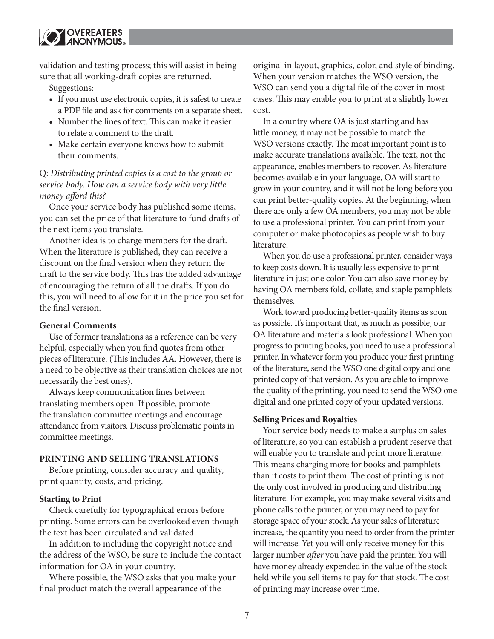

validation and testing process; this will assist in being sure that all working-draft copies are returned.

Suggestions:

- If you must use electronic copies, it is safest to create a PDF file and ask for comments on a separate sheet.
- Number the lines of text. This can make it easier to relate a comment to the draft.
- Make certain everyone knows how to submit their comments.

Q: *Distributing printed copies is a cost to the group or service body. How can a service body with very little money afford this?* 

Once your service body has published some items, you can set the price of that literature to fund drafts of the next items you translate.

Another idea is to charge members for the draft. When the literature is published, they can receive a discount on the final version when they return the draft to the service body. This has the added advantage of encouraging the return of all the drafts. If you do this, you will need to allow for it in the price you set for the final version.

#### **General Comments**

Use of former translations as a reference can be very helpful, especially when you find quotes from other pieces of literature. (This includes AA. However, there is a need to be objective as their translation choices are not necessarily the best ones).

Always keep communication lines between translating members open. If possible, promote the translation committee meetings and encourage attendance from visitors. Discuss problematic points in committee meetings.

#### **PRINTING AND SELLING TRANSLATIONS**

Before printing, consider accuracy and quality, print quantity, costs, and pricing.

#### **Starting to Print**

Check carefully for typographical errors before printing. Some errors can be overlooked even though the text has been circulated and validated.

In addition to including the copyright notice and the address of the WSO, be sure to include the contact information for OA in your country.

Where possible, the WSO asks that you make your final product match the overall appearance of the

original in layout, graphics, color, and style of binding. When your version matches the WSO version, the WSO can send you a digital file of the cover in most cases. This may enable you to print at a slightly lower cost.

In a country where OA is just starting and has little money, it may not be possible to match the WSO versions exactly. The most important point is to make accurate translations available. The text, not the appearance, enables members to recover. As literature becomes available in your language, OA will start to grow in your country, and it will not be long before you can print better-quality copies. At the beginning, when there are only a few OA members, you may not be able to use a professional printer. You can print from your computer or make photocopies as people wish to buy literature.

When you do use a professional printer, consider ways to keep costs down. It is usually less expensive to print literature in just one color. You can also save money by having OA members fold, collate, and staple pamphlets themselves.

Work toward producing better-quality items as soon as possible. It's important that, as much as possible, our OA literature and materials look professional. When you progress to printing books, you need to use a professional printer. In whatever form you produce your first printing of the literature, send the WSO one digital copy and one printed copy of that version. As you are able to improve the quality of the printing, you need to send the WSO one digital and one printed copy of your updated versions.

#### **Selling Prices and Royalties**

Your service body needs to make a surplus on sales of literature, so you can establish a prudent reserve that will enable you to translate and print more literature. This means charging more for books and pamphlets than it costs to print them. The cost of printing is not the only cost involved in producing and distributing literature. For example, you may make several visits and phone calls to the printer, or you may need to pay for storage space of your stock. As your sales of literature increase, the quantity you need to order from the printer will increase. Yet you will only receive money for this larger number *after* you have paid the printer. You will have money already expended in the value of the stock held while you sell items to pay for that stock. The cost of printing may increase over time.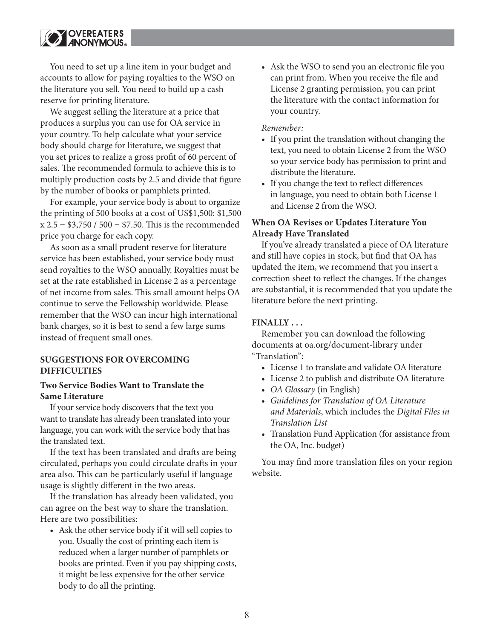# **ZOVEREATERS** ®

You need to set up a line item in your budget and accounts to allow for paying royalties to the WSO on the literature you sell. You need to build up a cash reserve for printing literature.

We suggest selling the literature at a price that produces a surplus you can use for OA service in your country. To help calculate what your service body should charge for literature, we suggest that you set prices to realize a gross profit of 60 percent of sales. The recommended formula to achieve this is to multiply production costs by 2.5 and divide that figure by the number of books or pamphlets printed.

For example, your service body is about to organize the printing of 500 books at a cost of US\$1,500: \$1,500  $x 2.5 = $3,750 / 500 = $7.50$ . This is the recommended price you charge for each copy.

As soon as a small prudent reserve for literature service has been established, your service body must send royalties to the WSO annually. Royalties must be set at the rate established in License 2 as a percentage of net income from sales. This small amount helps OA continue to serve the Fellowship worldwide. Please remember that the WSO can incur high international bank charges, so it is best to send a few large sums instead of frequent small ones.

## **SUGGESTIONS FOR OVERCOMING DIFFICULTIES**

### **Two Service Bodies Want to Translate the Same Literature**

If your service body discovers that the text you want to translate has already been translated into your language, you can work with the service body that has the translated text.

If the text has been translated and drafts are being circulated, perhaps you could circulate drafts in your area also. This can be particularly useful if language usage is slightly different in the two areas.

If the translation has already been validated, you can agree on the best way to share the translation. Here are two possibilities:

• Ask the other service body if it will sell copies to you. Usually the cost of printing each item is reduced when a larger number of pamphlets or books are printed. Even if you pay shipping costs, it might be less expensive for the other service body to do all the printing.

• Ask the WSO to send you an electronic file you can print from. When you receive the file and License 2 granting permission, you can print the literature with the contact information for your country.

### *Remember:*

- If you print the translation without changing the text, you need to obtain License 2 from the WSO so your service body has permission to print and distribute the literature.
- If you change the text to reflect differences in language, you need to obtain both License 1 and License 2 from the WSO.

## **When OA Revises or Updates Literature You Already Have Translated**

If you've already translated a piece of OA literature and still have copies in stock, but find that OA has updated the item, we recommend that you insert a correction sheet to reflect the changes. If the changes are substantial, it is recommended that you update the literature before the next printing.

### **FINALLY . . .**

Remember you can download the following documents at oa.org/document-library under "Translation":

- License 1 to translate and validate OA literature
- License 2 to publish and distribute OA literature
- *OA Glossary* (in English)
- *Guidelines for Translation of OA Literature and Materials*, which includes the *Digital Files in Translation List*
- Translation Fund Application (for assistance from the OA, Inc. budget)

You may find more translation files on your region website.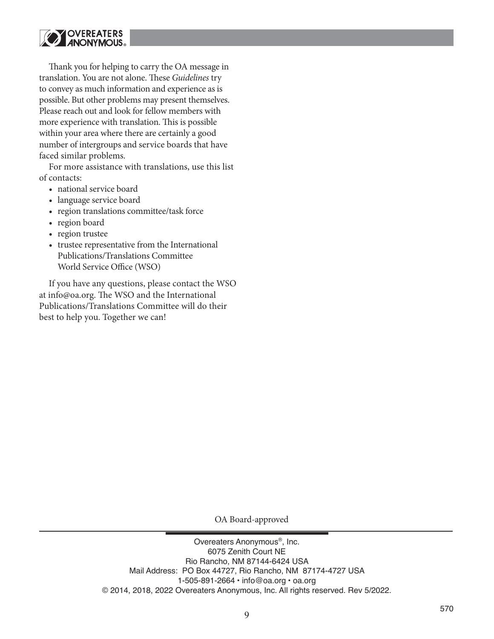

Thank you for helping to carry the OA message in translation. You are not alone. These *Guidelines* try to convey as much information and experience as is possible. But other problems may present themselves. Please reach out and look for fellow members with more experience with translation. This is possible within your area where there are certainly a good number of intergroups and service boards that have faced similar problems.

For more assistance with translations, use this list of contacts:

- national service board
- language service board
- region translations committee/task force
- region board
- region trustee
- trustee representative from the International Publications/Translations Committee World Service Office (WSO)

If you have any questions, please contact the WSO at info@oa.org. The WSO and the International Publications/Translations Committee will do their best to help you. Together we can!

OA Board-approved

Overeaters Anonymous®, Inc. 6075 Zenith Court NE Rio Rancho, NM 87144-6424 USA Mail Address: PO Box 44727, Rio Rancho, NM 87174-4727 USA 1-505-891-2664 • info@oa.org • oa.org © 2014, 2018, 2022 Overeaters Anonymous, Inc. All rights reserved. Rev 5/2022.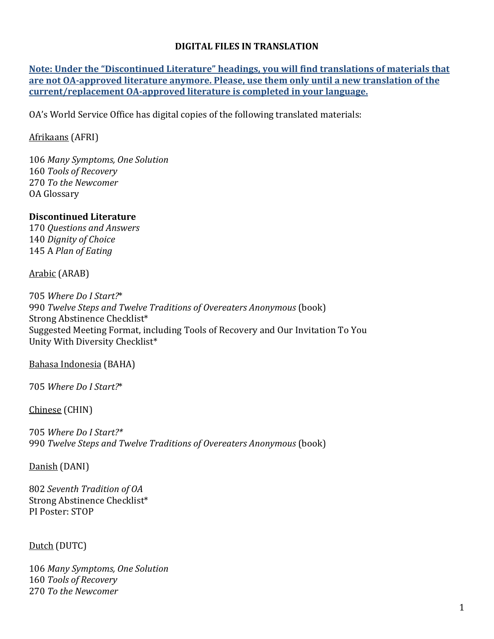# **DIGITAL FILES IN TRANSLATION**

**Note: Under the "Discontinued Literature" headings, you will find translations of materials that are not OA-approved literature anymore. Please, use them only until a new translation of the current/replacement OA-approved literature is completed in your language.**

OA's World Service Office has digital copies of the following translated materials:

Afrikaans (AFRI)

*Many Symptoms, One Solution Tools of Recovery To the Newcomer* OA Glossary

# **Discontinued Literature**

170 *Questions and Answers* 140 *Dignity of Choice* 145 A *Plan of Eating*

# Arabic (ARAB)

705 *Where Do I Start?*\* 990 *Twelve Steps and Twelve Traditions of Overeaters Anonymous* (book) Strong Abstinence Checklist\* Suggested Meeting Format, including Tools of Recovery and Our Invitation To You Unity With Diversity Checklist\*

Bahasa Indonesia (BAHA)

705 *Where Do I Start?*\*

Chinese (CHIN)

705 *Where Do I Start?\**  990 *Twelve Steps and Twelve Traditions of Overeaters Anonymous* (book)

Danish (DANI)

802 *Seventh Tradition of OA* Strong Abstinence Checklist\* PI Poster: STOP

Dutch (DUTC)

106 *Many Symptoms, One Solution* 160 *Tools of Recovery* 270 *To the Newcomer*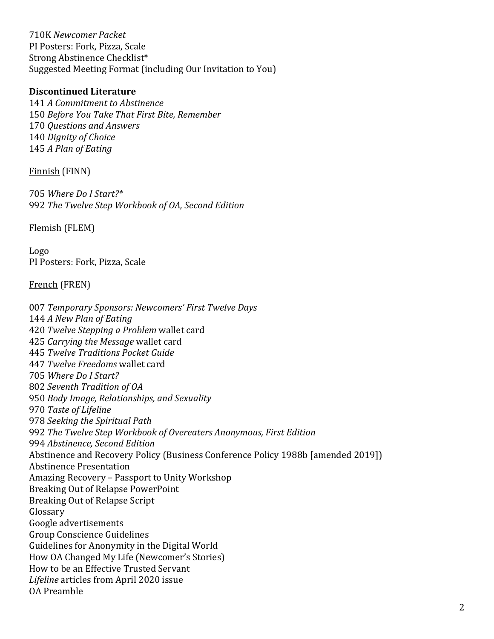710K *Newcomer Packet* PI Posters: Fork, Pizza, Scale Strong Abstinence Checklist\* Suggested Meeting Format (including Our Invitation to You)

# **Discontinued Literature**

*A Commitment to Abstinence Before You Take That First Bite, Remember Questions and Answers Dignity of Choice A Plan of Eating* 

Finnish (FINN)

705 *Where Do I Start?\**  992 *The Twelve Step Workbook of OA, Second Edition*

Flemish (FLEM)

Logo PI Posters: Fork, Pizza, Scale

# French (FREN)

007 *Temporary Sponsors: Newcomers' First Twelve Days* 144 *A New Plan of Eating* 420 *Twelve Stepping a Problem* wallet card 425 *Carrying the Message* wallet card 445 *Twelve Traditions Pocket Guide* 447 *Twelve Freedoms* wallet card 705 *Where Do I Start?* 802 *Seventh Tradition of OA* 950 *Body Image, Relationships, and Sexuality* 970 *Taste of Lifeline* 978 *Seeking the Spiritual Path* 992 *The Twelve Step Workbook of Overeaters Anonymous, First Edition* 994 *Abstinence, Second Edition* Abstinence and Recovery Policy (Business Conference Policy 1988b [amended 2019]) Abstinence Presentation Amazing Recovery – Passport to Unity Workshop Breaking Out of Relapse PowerPoint Breaking Out of Relapse Script Glossary Google advertisements Group Conscience Guidelines Guidelines for Anonymity in the Digital World How OA Changed My Life (Newcomer's Stories) How to be an Effective Trusted Servant *Lifeline* articles from April 2020 issue OA Preamble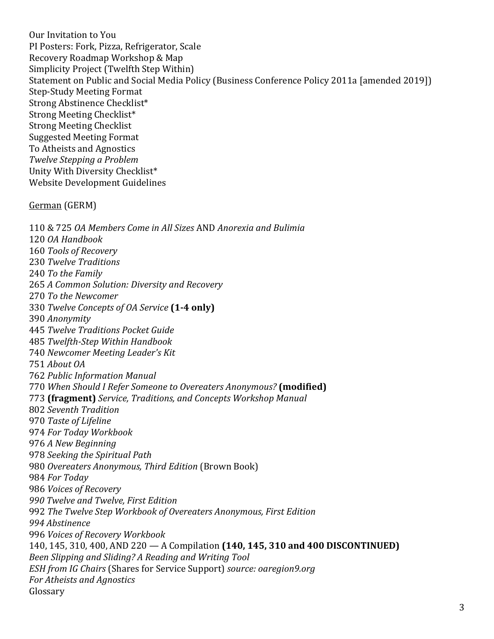Our Invitation to You PI Posters: Fork, Pizza, Refrigerator, Scale Recovery Roadmap Workshop & Map Simplicity Project (Twelfth Step Within) Statement on Public and Social Media Policy (Business Conference Policy 2011a [amended 2019]) Step-Study Meeting Format Strong Abstinence Checklist\* Strong Meeting Checklist\* Strong Meeting Checklist Suggested Meeting Format To Atheists and Agnostics *Twelve Stepping a Problem* Unity With Diversity Checklist\* Website Development Guidelines

German (GERM)

110 & 725 *OA Members Come in All Sizes* AND *Anorexia and Bulimia OA Handbook Tools of Recovery Twelve Traditions To the Family A Common Solution: Diversity and Recovery To the Newcomer Twelve Concepts of OA Service* **(1-4 only)**  *Anonymity Twelve Traditions Pocket Guide Twelfth-Step Within Handbook Newcomer Meeting Leader's Kit*  751 *About OA Public Information Manual When Should I Refer Someone to Overeaters Anonymous?* **(modified) (fragment)** *Service, Traditions, and Concepts Workshop Manual Seventh Tradition Taste of Lifeline For Today Workbook A New Beginning Seeking the Spiritual Path Overeaters Anonymous, Third Edition* (Brown Book) *For Today Voices of Recovery Twelve and Twelve, First Edition The Twelve Step Workbook of Overeaters Anonymous, First Edition 994 Abstinence Voices of Recovery Workbook* 140, 145, 310, 400, AND 220 *—* A Compilation **(140, 145, 310 and 400 DISCONTINUED)** *Been Slipping and Sliding? A Reading and Writing Tool ESH from IG Chairs* (Shares for Service Support) *source: oaregion9.org For Atheists and Agnostics*  Glossary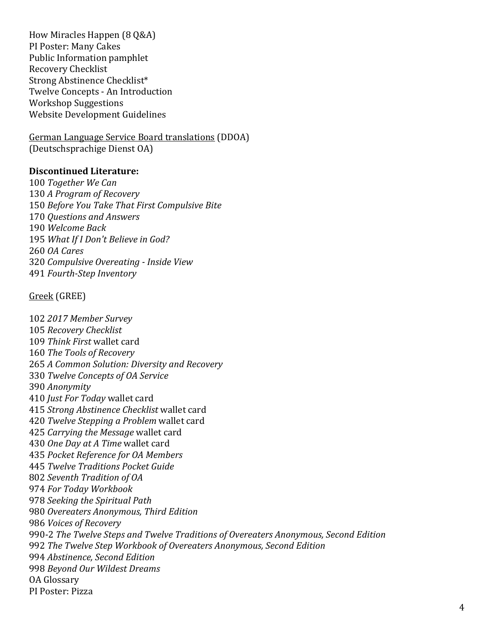How Miracles Happen (8 Q&A) PI Poster: Many Cakes Public Information pamphlet Recovery Checklist Strong Abstinence Checklist\* Twelve Concepts - An Introduction Workshop Suggestions Website Development Guidelines

German Language Service Board translations (DDOA) (Deutschsprachige Dienst OA)

# **Discontinued Literature:**

*Together We Can A Program of Recovery Before You Take That First Compulsive Bite Questions and Answers Welcome Back What If I Don't Believe in God? OA Cares Compulsive Overeating - Inside View Fourth-Step Inventory* 

# Greek (GREE)

*2017 Member Survey Recovery Checklist Think First* wallet card *The Tools of Recovery A Common Solution: Diversity and Recovery Twelve Concepts of OA Service Anonymity Just For Today* wallet card *Strong Abstinence Checklist* wallet card *Twelve Stepping a Problem* wallet card *Carrying the Message* wallet card *One Day at A Time* wallet card *Pocket Reference for OA Members Twelve Traditions Pocket Guide Seventh Tradition of OA For Today Workbook Seeking the Spiritual Path Overeaters Anonymous, Third Edition Voices of Recovery* 990-2 *The Twelve Steps and Twelve Traditions of Overeaters Anonymous, Second Edition The Twelve Step Workbook of Overeaters Anonymous, Second Edition Abstinence, Second Edition Beyond Our Wildest Dreams* OA Glossary PI Poster: Pizza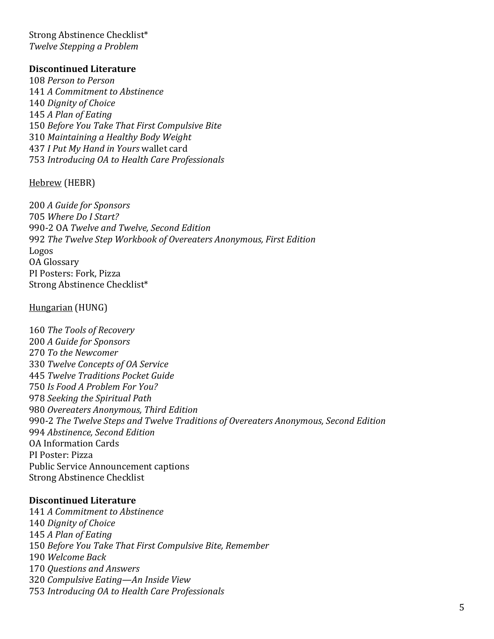Strong Abstinence Checklist\* *Twelve Stepping a Problem*

# **Discontinued Literature**

*Person to Person A Commitment to Abstinence Dignity of Choice A Plan of Eating Before You Take That First Compulsive Bite Maintaining a Healthy Body Weight I Put My Hand in Yours* wallet card *Introducing OA to Health Care Professionals*

## Hebrew (HEBR)

*A Guide for Sponsors Where Do I Start?* 990-2 OA *Twelve and Twelve, Second Edition The Twelve Step Workbook of Overeaters Anonymous, First Edition* Logos OA Glossary PI Posters: Fork, Pizza Strong Abstinence Checklist\*

## Hungarian (HUNG)

 *The Tools of Recovery A Guide for Sponsors To the Newcomer Twelve Concepts of OA Service Twelve Traditions Pocket Guide Is Food A Problem For You? Seeking the Spiritual Path Overeaters Anonymous, Third Edition* 990-2 *The Twelve Steps and Twelve Traditions of Overeaters Anonymous, Second Edition Abstinence, Second Edition*  OA Information Cards PI Poster: Pizza Public Service Announcement captions Strong Abstinence Checklist

# **Discontinued Literature**

 *A Commitment to Abstinence Dignity of Choice A Plan of Eating Before You Take That First Compulsive Bite, Remember Welcome Back Questions and Answers Compulsive Eating—An Inside View Introducing OA to Health Care Professionals*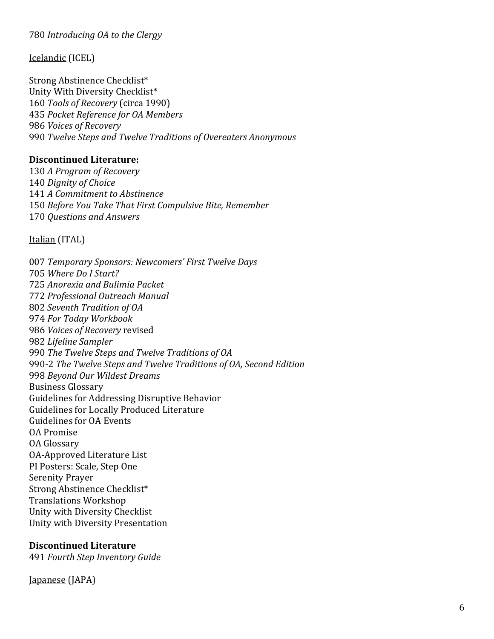# 780 *Introducing OA to the Clergy*

Icelandic (ICEL)

Strong Abstinence Checklist\* Unity With Diversity Checklist\* *Tools of Recovery* (circa 1990) *Pocket Reference for OA Members Voices of Recovery Twelve Steps and Twelve Traditions of Overeaters Anonymous*

## **Discontinued Literature:**

*A Program of Recovery Dignity of Choice A Commitment to Abstinence Before You Take That First Compulsive Bite, Remember Questions and Answers*

Italian (ITAL)

007 *Temporary Sponsors: Newcomers' First Twelve Days* 705 *Where Do I Start?* 725 *Anorexia and Bulimia Packet* 772 *Professional Outreach Manual* 802 *Seventh Tradition of OA* 974 *For Today Workbook* 986 *Voices of Recovery* revised 982 *Lifeline Sampler* 990 *The Twelve Steps and Twelve Traditions of OA* 990-2 *The Twelve Steps and Twelve Traditions of OA, Second Edition* 998 *Beyond Our Wildest Dreams* Business Glossary Guidelines for Addressing Disruptive Behavior Guidelines for Locally Produced Literature Guidelines for OA Events OA Promise OA Glossary OA-Approved Literature List PI Posters: Scale, Step One Serenity Prayer Strong Abstinence Checklist\* Translations Workshop Unity with Diversity Checklist Unity with Diversity Presentation

## **Discontinued Literature**

491 *Fourth Step Inventory Guide* 

Japanese (JAPA)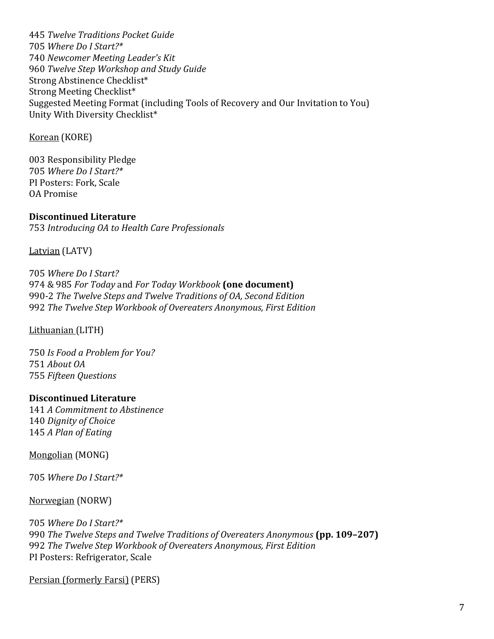445 *Twelve Traditions Pocket Guide* 705 *Where Do I Start?\**  740 *Newcomer Meeting Leader's Kit* 960 *Twelve Step Workshop and Study Guide* Strong Abstinence Checklist\* Strong Meeting Checklist\* Suggested Meeting Format (including Tools of Recovery and Our Invitation to You) Unity With Diversity Checklist\*

Korean (KORE)

003 Responsibility Pledge 705 *Where Do I Start?\**  PI Posters: Fork, Scale OA Promise

# **Discontinued Literature**

753 *Introducing OA to Health Care Professionals*

Latvian (LATV)

705 *Where Do I Start?* 974 & 985 *For Today* and *For Today Workbook* **(one document)** 990-2 *The Twelve Steps and Twelve Traditions of OA, Second Edition* 992 *The Twelve Step Workbook of Overeaters Anonymous, First Edition*

Lithuanian (LITH)

750 *Is Food a Problem for You?* 751 *About OA* 755 *Fifteen Questions*

# **Discontinued Literature**

141 *A Commitment to Abstinence*  140 *Dignity of Choice* 145 *A Plan of Eating*

Mongolian (MONG)

705 *Where Do I Start?\**

Norwegian (NORW)

*Where Do I Start?\* The Twelve Steps and Twelve Traditions of Overeaters Anonymous* **(pp. 109–207)** *The Twelve Step Workbook of Overeaters Anonymous, First Edition* PI Posters: Refrigerator, Scale

Persian (formerly Farsi) (PERS)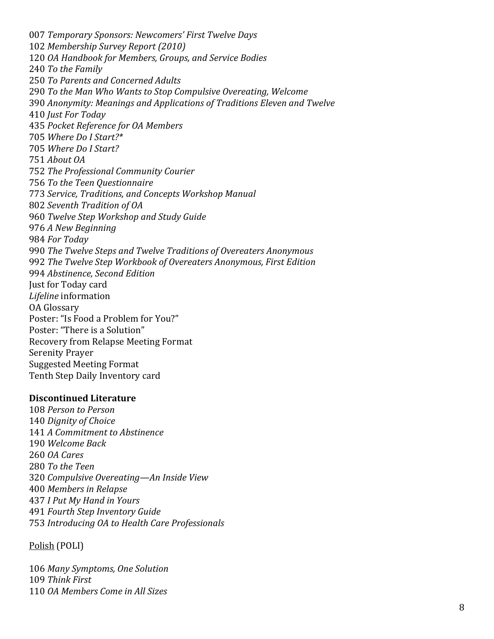*Temporary Sponsors: Newcomers' First Twelve Days Membership Survey Report (2010) OA Handbook for Members, Groups, and Service Bodies To the Family To Parents and Concerned Adults To the Man Who Wants to Stop Compulsive Overeating, Welcome Anonymity: Meanings and Applications of Traditions Eleven and Twelve Just For Today Pocket Reference for OA Members Where Do I Start?\* Where Do I Start? About OA The Professional Community Courier To the Teen Questionnaire Service, Traditions, and Concepts Workshop Manual Seventh Tradition of OA Twelve Step Workshop and Study Guide A New Beginning For Today The Twelve Steps and Twelve Traditions of Overeaters Anonymous The Twelve Step Workbook of Overeaters Anonymous, First Edition Abstinence, Second Edition* Just for Today card *Lifeline* information OA Glossary Poster: "Is Food a Problem for You?" Poster: "There is a Solution" Recovery from Relapse Meeting Format Serenity Prayer Suggested Meeting Format Tenth Step Daily Inventory card

### **Discontinued Literature**

*Person to Person Dignity of Choice A Commitment to Abstinence Welcome Back OA Cares To the Teen Compulsive Overeating—An Inside View Members in Relapse I Put My Hand in Yours Fourth Step Inventory Guide Introducing OA to Health Care Professionals*

Polish (POLI)

*Many Symptoms, One Solution Think First OA Members Come in All Sizes*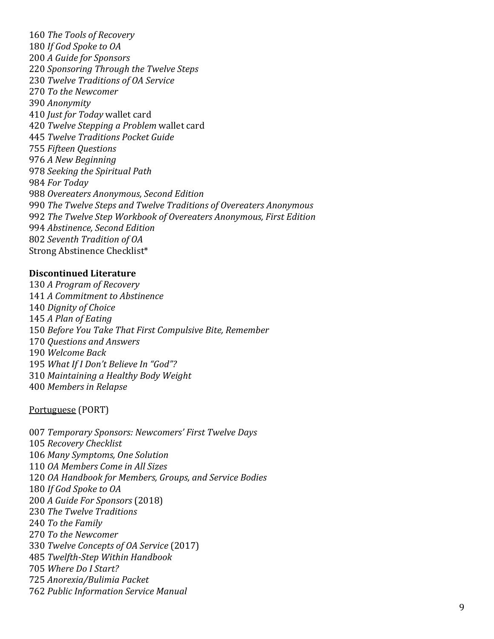*The Tools of Recovery If God Spoke to OA A Guide for Sponsors Sponsoring Through the Twelve Steps Twelve Traditions of OA Service To the Newcomer Anonymity Just for Today* wallet card *Twelve Stepping a Problem* wallet card *Twelve Traditions Pocket Guide Fifteen Questions A New Beginning Seeking the Spiritual Path For Today Overeaters Anonymous, Second Edition The Twelve Steps and Twelve Traditions of Overeaters Anonymous The Twelve Step Workbook of Overeaters Anonymous, First Edition Abstinence, Second Edition Seventh Tradition of OA* Strong Abstinence Checklist\*

## **Discontinued Literature**

*A Program of Recovery A Commitment to Abstinence Dignity of Choice A Plan of Eating Before You Take That First Compulsive Bite, Remember Questions and Answers Welcome Back What If I Don't Believe In "God"? Maintaining a Healthy Body Weight Members in Relapse* 

# Portuguese (PORT)

*Temporary Sponsors: Newcomers' First Twelve Days Recovery Checklist Many Symptoms, One Solution OA Members Come in All Sizes OA Handbook for Members, Groups, and Service Bodies If God Spoke to OA A Guide For Sponsors* (2018) *The Twelve Traditions To the Family To the Newcomer Twelve Concepts of OA Service* (2017) *Twelfth -Step Within Handbook Where Do I Start? Anorexia/Bulimia Packet Public Information Service Manual*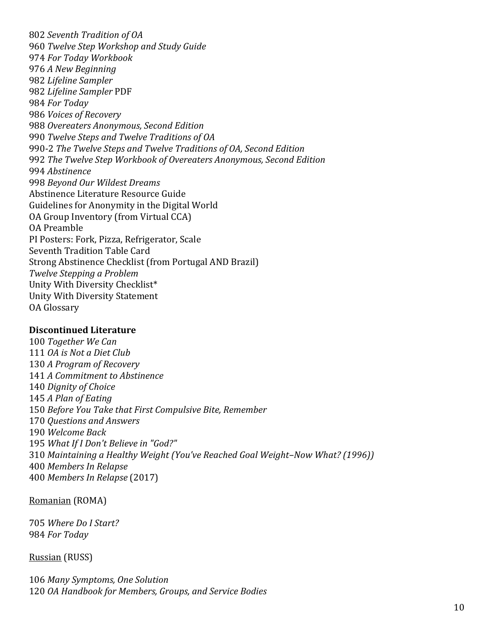*Seventh Tradition of OA Twelve Step Workshop and Study Guide For Today Workbook A New Beginning Lifeline Sampler Lifeline Sampler* PDF *For Today Voices of Recovery Overeaters Anonymous, Second Edition Twelve Steps and Twelve Traditions of OA* 990-2 *The Twelve Steps and Twelve Traditions of OA, Second Edition The Twelve Step Workbook of Overeaters Anonymous, Second Edition Abstinence Beyond Our Wildest Dreams* Abstinence Literature Resource Guide Guidelines for Anonymity in the Digital World OA Group Inventory (from Virtual CCA) OA Preamble PI Posters: Fork, Pizza, Refrigerator, Scale Seventh Tradition Table Card Strong Abstinence Checklist (from Portugal AND Brazil) *Twelve Stepping a Problem* Unity With Diversity Checklist\* Unity With Diversity Statement OA Glossary

# **Discontinued Literature**

 *Together We Can OA is Not a Diet Club A Program of Recovery A Commitment to Abstinence Dignity of Choice A Plan of Eating Before You Take that First Compulsive Bite, Remember Questions and Answers Welcome Back What If I Don't Believe in "God?" Maintaining a Healthy Weight (You've Reached Goal Weight–Now What? (1996)) Members In Relapse Members In Relapse* (2017)

Romanian (ROMA)

*Where Do I Start? For Today*

Russian (RUSS)

*Many Symptoms, One Solution OA Handbook for Members, Groups, and Service Bodies*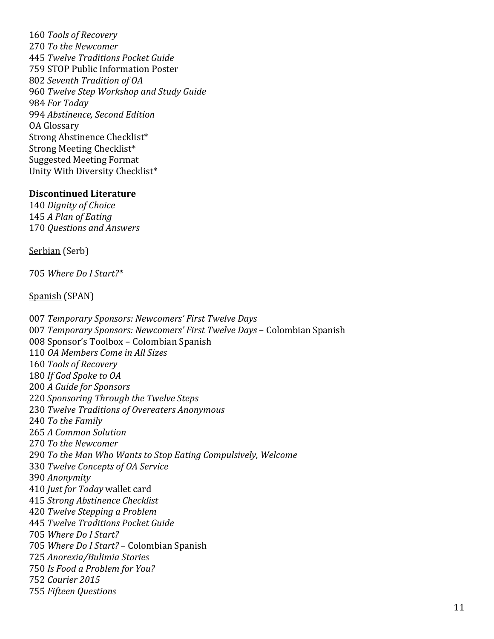*Tools of Recovery To the Newcomer Twelve Traditions Pocket Guide* 759 STOP Public Information Poster *Seventh Tradition of OA Twelve Step Workshop and Study Guide For Today Abstinence, Second Edition* OA Glossary Strong Abstinence Checklist\* Strong Meeting Checklist\* Suggested Meeting Format Unity With Diversity Checklist\*

## **Discontinued Literature**

*Dignity of Choice A Plan of Eating Questions and Answers*

Serbian (Serb)

*Where Do I Start?\**

Spanish (SPAN)

*Temporary Sponsors: Newcomers' First Twelve Days Temporary Sponsors: Newcomers' First Twelve Days* – Colombian Spanish 008 Sponsor's Toolbox – Colombian Spanish *OA Members Come in All Sizes Tools of Recovery If God Spoke to OA A Guide for Sponsors Sponsoring Through the Twelve Steps Twelve Traditions of Overeaters Anonymous To the Family A Common Solution To the Newcomer To the Man Who Wants to Stop Eating Compulsively, Welcome Twelve Concepts of OA Service Anonymity Just for Today* wallet card *Strong Abstinence Checklist Twelve Stepping a Problem Twelve Traditions Pocket Guide Where Do I Start? Where Do I Start?* – Colombian Spanish *Anorexia/Bulimia Stories Is Food a Problem for You? Courier 2015 Fifteen Questions*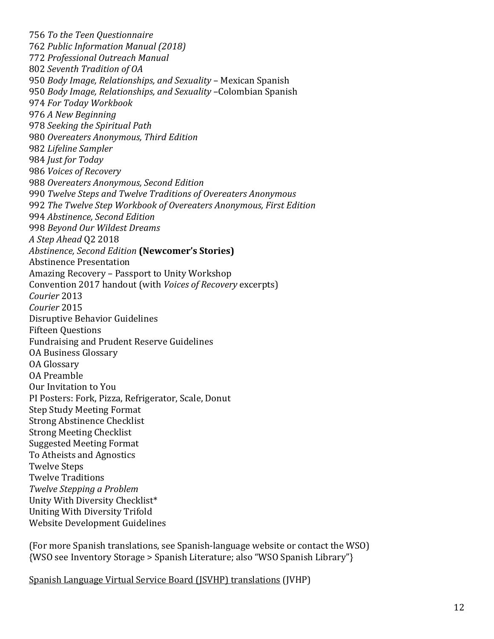756 *To the Teen Questionnaire* 762 *Public Information Manual (2018)* 772 *Professional Outreach Manual* 802 *Seventh Tradition of OA* 950 *Body Image, Relationships, and Sexuality* – Mexican Spanish 950 *Body Image, Relationships, and Sexuality* –Colombian Spanish 974 *For Today Workbook* 976 *A New Beginning* 978 *Seeking the Spiritual Path* 980 *Overeaters Anonymous, Third Edition* 982 *Lifeline Sampler* 984 *Just for Today* 986 *Voices of Recovery* 988 *Overeaters Anonymous, Second Edition* 990 *Twelve Steps and Twelve Traditions of Overeaters Anonymous* 992 *The Twelve Step Workbook of Overeaters Anonymous, First Edition* 994 *Abstinence, Second Edition* 998 *Beyond Our Wildest Dreams A Step Ahead* Q2 2018 *Abstinence, Second Edition* **(Newcomer's Stories)** Abstinence Presentation Amazing Recovery – Passport to Unity Workshop Convention 2017 handout (with *Voices of Recovery* excerpts) *Courier* 2013 *Courier* 2015 Disruptive Behavior Guidelines Fifteen Questions Fundraising and Prudent Reserve Guidelines OA Business Glossary OA Glossary OA Preamble Our Invitation to You PI Posters: Fork, Pizza, Refrigerator, Scale, Donut Step Study Meeting Format Strong Abstinence Checklist Strong Meeting Checklist Suggested Meeting Format To Atheists and Agnostics Twelve Steps Twelve Traditions *Twelve Stepping a Problem* Unity With Diversity Checklist\* Uniting With Diversity Trifold Website Development Guidelines

(For more Spanish translations, see Spanish-language website or contact the WSO) {WSO see Inventory Storage > Spanish Literature; also "WSO Spanish Library"}

Spanish Language Virtual Service Board (JSVHP) translations (JVHP)